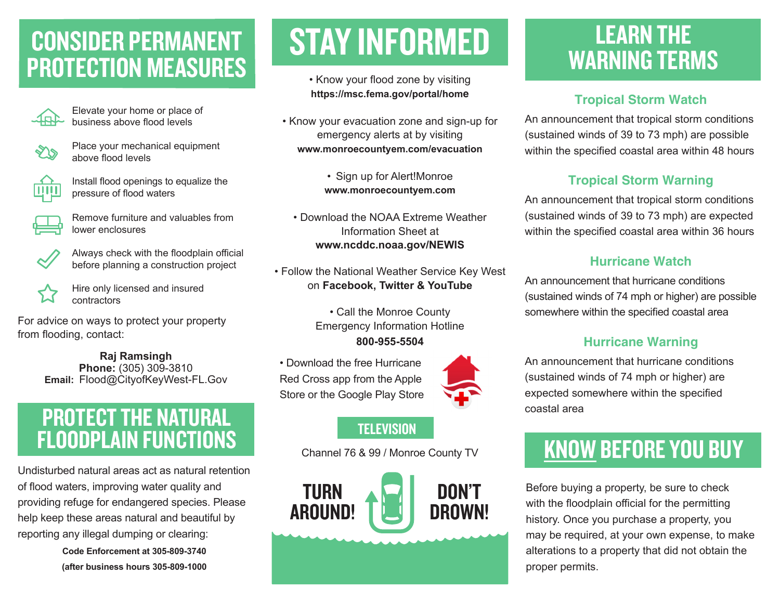### CONSIDER PERMANENT PROTECTION MEASURES



Elevate your home or place of business above flood levels

Place your mechanical equipment above flood levels



Install flood openings to equalize the pressure of flood waters



Remove furniture and valuables from lower enclosures



Always check with the floodplain official before planning a construction project

Hire only licensed and insured contractors

For advice on ways to protect your property from flooding, contact:

> **Raj Ramsingh Phone:** (305) 309-3810 **Email:** Flood@CityofKeyWest-FL.Gov

### PROTECT THE NATURAL FLOODPLAIN FUNCTIONS

Undisturbed natural areas act as natural retention of flood waters, improving water quality and providing refuge for endangered species. Please help keep these areas natural and beautiful by reporting any illegal dumping or clearing:

> **Code Enforcement at 305-809-3740 (after business hours 305-809-1000**

# STAY INFORMED

• Know your flood zone by visiting **https://msc.fema.gov/portal/home**

• Know your evacuation zone and sign-up for emergency alerts at by visiting **www.monroecountyem.com/evacuation**

> • Sign up for Alert!Monroe **www.monroecountyem.com**

• Download the NOAA Extreme Weather Information Sheet at **www.ncddc.noaa.gov/NEWIS**

• Follow the National Weather Service Key West on **Facebook, Twitter & YouTube**

> • Call the Monroe County Emergency Information Hotline

**800-955-5504**

• Download the free Hurricane Red Cross app from the Apple Store or the Google Play Store



#### **TELEVISION**

Channel 76 & 99 / Monroe County TV



### LEARN THE WARNING TERMS

#### **Tropical Storm Watch**

An announcement that tropical storm conditions (sustained winds of 39 to 73 mph) are possible within the specified coastal area within 48 hours

#### **Tropical Storm Warning**

An announcement that tropical storm conditions (sustained winds of 39 to 73 mph) are expected within the specified coastal area within 36 hours

#### **Hurricane Watch**

An announcement that hurricane conditions (sustained winds of 74 mph or higher) are possible somewhere within the specified coastal area

#### **Hurricane Warning**

An announcement that hurricane conditions (sustained winds of 74 mph or higher) are expected somewhere within the specified coastal area

## KNOW BEFORE YOU BUY

Before buying a property, be sure to check with the floodplain official for the permitting history. Once you purchase a property, you may be required, at your own expense, to make alterations to a property that did not obtain the proper permits.